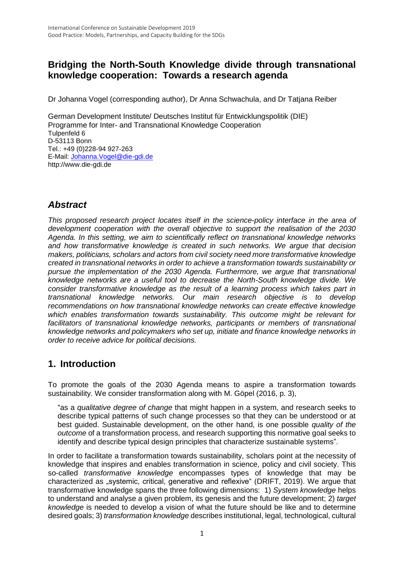## **Bridging the North-South Knowledge divide through transnational knowledge cooperation: Towards a research agenda**

Dr Johanna Vogel (corresponding author), Dr Anna Schwachula, and Dr Tatjana Reiber

German Development Institute/ Deutsches Institut für Entwicklungspolitik (DIE) Programme for Inter- and Transnational Knowledge Cooperation Tulpenfeld 6 D-53113 Bonn Tel.: +49 (0)228-94 927-263 E-Mail: [Johanna.Vogel@die-gdi.de](file://///die.intern/dfs/Data/Uebergabe/%23%20INTRANET/Abteilungen_Departments/Abteilung%20VI/%23%20Weitere%20Projekte/Network%20Research/Tanja.Vogel@die-gdi.de) [http://www.die-gdi.de](http://www.die-gdi.de/)

## *Abstract*

*This proposed research project locates itself in the science-policy interface in the area of development cooperation with the overall objective to support the realisation of the 2030 Agenda. In this setting, we aim to scientifically reflect on transnational knowledge networks and how transformative knowledge is created in such networks. We argue that decision makers, politicians, scholars and actors from civil society need more transformative knowledge created in transnational networks in order to achieve a transformation towards sustainability or pursue the implementation of the 2030 Agenda. Furthermore, we argue that transnational knowledge networks are a useful tool to decrease the North-South knowledge divide. We consider transformative knowledge as the result of a learning process which takes part in transnational knowledge networks. Our main research objective is to develop recommendations on how transnational knowledge networks can create effective knowledge which enables transformation towards sustainability. This outcome might be relevant for facilitators of transnational knowledge networks, participants or members of transnational knowledge networks and policymakers who set up, initiate and finance knowledge networks in order to receive advice for political decisions.*

## **1. Introduction**

To promote the goals of the 2030 Agenda means to aspire a transformation towards sustainability. We consider transformation along with M. Göpel (2016, p. 3),

"as a *qualitative degree of change* that might happen in a system, and research seeks to describe typical patterns of such change processes so that they can be understood or at best guided. Sustainable development, on the other hand, is one possible *quality of the outcome* of a transformation process, and research supporting this normative goal seeks to identify and describe typical design principles that characterize sustainable systems".

In order to facilitate a transformation towards sustainability, scholars point at the necessity of knowledge that inspires and enables transformation in science, policy and civil society. This so-called *transformative knowledge* encompasses types of knowledge that may be characterized as "systemic, critical, generative and reflexive" (DRIFT, 2019). We argue that transformative knowledge spans the three following dimensions: 1) *System knowledge* helps to understand and analyse a given problem, its genesis and the future development; 2) *target knowledge* is needed to develop a vision of what the future should be like and to determine desired goals; 3) *transformation knowledge* describes institutional, legal, technological, cultural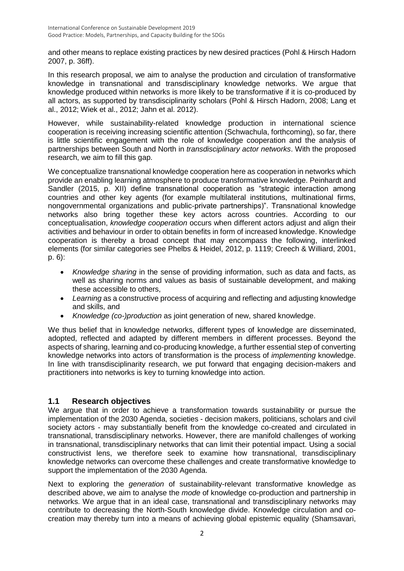and other means to replace existing practices by new desired practices (Pohl & Hirsch Hadorn 2007, p. 36ff).

In this research proposal, we aim to analyse the production and circulation of transformative knowledge in transnational and transdisciplinary knowledge networks. We argue that knowledge produced within networks is more likely to be transformative if it is co-produced by all actors, as supported by transdisciplinarity scholars (Pohl & Hirsch Hadorn, 2008; Lang et al., 2012; Wiek et al., 2012; Jahn et al. 2012).

However, while sustainability-related knowledge production in international science cooperation is receiving increasing scientific attention (Schwachula, forthcoming), so far, there is little scientific engagement with the role of knowledge cooperation and the analysis of partnerships between South and North in *transdisciplinary actor networks*. With the proposed research, we aim to fill this gap.

We conceptualize transnational knowledge cooperation here as cooperation in networks which provide an enabling learning atmosphere to produce transformative knowledge. Peinhardt and Sandler (2015, p. XII) define transnational cooperation as "strategic interaction among countries and other key agents (for example multilateral institutions, multinational firms, nongovernmental organizations and public-private partnerships)". Transnational knowledge networks also bring together these key actors across countries. According to our conceptualisation, *knowledge cooperation* occurs when different actors adjust and align their activities and behaviour in order to obtain benefits in form of increased knowledge. Knowledge cooperation is thereby a broad concept that may encompass the following, interlinked elements (for similar categories see Phelbs & Heidel, 2012, p. 1119; Creech & Williard, 2001, p. 6):

- *Knowledge sharing* in the sense of providing information, such as data and facts, as well as sharing norms and values as basis of sustainable development, and making these accessible to others,
- *Learning* as a constructive process of acquiring and reflecting and adjusting knowledge and skills, and
- *Knowledge (co-)production* as joint generation of new, shared knowledge.

We thus belief that in knowledge networks, different types of knowledge are disseminated, adopted, reflected and adapted by different members in different processes. Beyond the aspects of sharing, learning and co-producing knowledge, a further essential step of converting knowledge networks into actors of transformation is the process of *implementing* knowledge. In line with transdisciplinarity research, we put forward that engaging decision-makers and practitioners into networks is key to turning knowledge into action.

#### **1.1 Research objectives**

We argue that in order to achieve a transformation towards sustainability or pursue the implementation of the 2030 Agenda, societies - decision makers, politicians, scholars and civil society actors - may substantially benefit from the knowledge co-created and circulated in transnational, transdisciplinary networks. However, there are manifold challenges of working in transnational, transdisciplinary networks that can limit their potential impact. Using a social constructivist lens, we therefore seek to examine how transnational, transdisciplinary knowledge networks can overcome these challenges and create transformative knowledge to support the implementation of the 2030 Agenda.

Next to exploring the *generation* of sustainability-relevant transformative knowledge as described above, we aim to analyse the *mode* of knowledge co-production and partnership in networks. We argue that in an ideal case, transnational and transdisciplinary networks may contribute to decreasing the North-South knowledge divide. Knowledge circulation and cocreation may thereby turn into a means of achieving global epistemic equality (Shamsavari,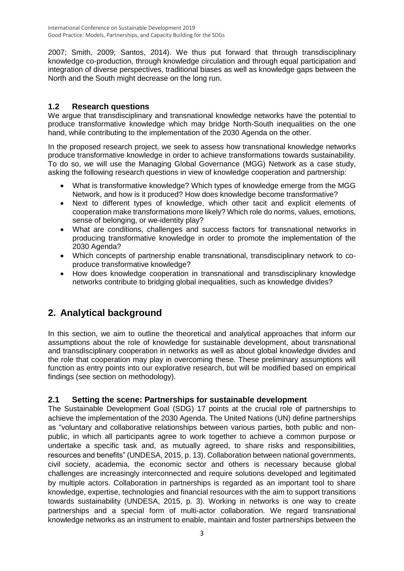2007; Smith, 2009; Santos, 2014). We thus put forward that through transdisciplinary knowledge co-production, through knowledge circulation and through equal participation and integration of diverse perspectives, traditional biases as well as knowledge gaps between the North and the South might decrease on the long run.

#### **1.2 Research questions**

We argue that transdisciplinary and transnational knowledge networks have the potential to produce transformative knowledge which may bridge North-South inequalities on the one hand, while contributing to the implementation of the 2030 Agenda on the other.

In the proposed research project, we seek to assess how transnational knowledge networks produce transformative knowledge in order to achieve transformations towards sustainability. To do so, we will use the Managing Global Governance (MGG) Network as a case study, asking the following research questions in view of knowledge cooperation and partnership:

- What is transformative knowledge? Which types of knowledge emerge from the MGG Network, and how is it produced? How does knowledge become transformative?
- Next to different types of knowledge, which other tacit and explicit elements of cooperation make transformations more likely? Which role do norms, values, emotions, sense of belonging, or we-identity play?
- What are conditions, challenges and success factors for transnational networks in producing transformative knowledge in order to promote the implementation of the 2030 Agenda?
- Which concepts of partnership enable transnational, transdisciplinary network to coproduce transformative knowledge?
- How does knowledge cooperation in transnational and transdisciplinary knowledge networks contribute to bridging global inequalities, such as knowledge divides?

# **2. Analytical background**

In this section, we aim to outline the theoretical and analytical approaches that inform our assumptions about the role of knowledge for sustainable development, about transnational and transdisciplinary cooperation in networks as well as about global knowledge divides and the role that cooperation may play in overcoming these. These preliminary assumptions will function as entry points into our explorative research, but will be modified based on empirical findings (see section on methodology).

#### **2.1 Setting the scene: Partnerships for sustainable development**

The Sustainable Development Goal (SDG) 17 points at the crucial role of partnerships to achieve the implementation of the 2030 Agenda. The United Nations (UN) define partnerships as "voluntary and collaborative relationships between various parties, both public and nonpublic, in which all participants agree to work together to achieve a common purpose or undertake a specific task and, as mutually agreed, to share risks and responsibilities, resources and benefits" (UNDESA, 2015, p. 13). Collaboration between national governments, civil society, academia, the economic sector and others is necessary because global challenges are increasingly interconnected and require solutions developed and legitimated by multiple actors. Collaboration in partnerships is regarded as an important tool to share knowledge, expertise, technologies and financial resources with the aim to support transitions towards sustainability (UNDESA, 2015, p. 3). Working in networks is one way to create partnerships and a special form of multi-actor collaboration. We regard transnational knowledge networks as an instrument to enable, maintain and foster partnerships between the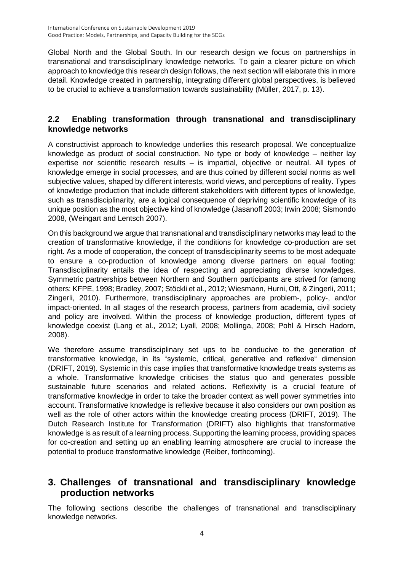Global North and the Global South. In our research design we focus on partnerships in transnational and transdisciplinary knowledge networks. To gain a clearer picture on which approach to knowledge this research design follows, the next section will elaborate this in more detail. Knowledge created in partnership, integrating different global perspectives, is believed to be crucial to achieve a transformation towards sustainability (Müller, 2017, p. 13).

#### **2.2 Enabling transformation through transnational and transdisciplinary knowledge networks**

A constructivist approach to knowledge underlies this research proposal. We conceptualize knowledge as product of social construction. No type or body of knowledge – neither lay expertise nor scientific research results – is impartial, objective or neutral. All types of knowledge emerge in social processes, and are thus coined by different social norms as well subjective values, shaped by different interests, world views, and perceptions of reality. Types of knowledge production that include different stakeholders with different types of knowledge, such as transdisciplinarity, are a logical consequence of depriving scientific knowledge of its unique position as the most objective kind of knowledge (Jasanoff 2003; Irwin 2008; Sismondo 2008, (Weingart and Lentsch 2007).

On this background we argue that transnational and transdisciplinary networks may lead to the creation of transformative knowledge, if the conditions for knowledge co-production are set right. As a mode of cooperation, the concept of transdisciplinarity seems to be most adequate to ensure a co-production of knowledge among diverse partners on equal footing: Transdisciplinarity entails the idea of respecting and appreciating diverse knowledges. Symmetric partnerships between Northern and Southern participants are strived for (among others: KFPE, 1998; Bradley, 2007; Stöckli et al., 2012; Wiesmann, Hurni, Ott, & Zingerli, 2011; Zingerli, 2010). Furthermore, transdisciplinary approaches are problem-, policy-, and/or impact-oriented. In all stages of the research process, partners from academia, civil society and policy are involved. Within the process of knowledge production, different types of knowledge coexist (Lang et al., 2012; Lyall, 2008; Mollinga, 2008; Pohl & Hirsch Hadorn, 2008).

We therefore assume transdisciplinary set ups to be conducive to the generation of transformative knowledge, in its "systemic, critical, generative and reflexive" dimension (DRIFT, 2019). Systemic in this case implies that transformative knowledge treats systems as a whole. Transformative knowledge criticises the status quo and generates possible sustainable future scenarios and related actions. Reflexivity is a crucial feature of transformative knowledge in order to take the broader context as well power symmetries into account. Transformative knowledge is reflexive because it also considers our own position as well as the role of other actors within the knowledge creating process (DRIFT, 2019). The Dutch Research Institute for Transformation (DRIFT) also highlights that transformative knowledge is as result of a learning process. Supporting the learning process, providing spaces for co-creation and setting up an enabling learning atmosphere are crucial to increase the potential to produce transformative knowledge (Reiber, forthcoming).

## **3. Challenges of transnational and transdisciplinary knowledge production networks**

The following sections describe the challenges of transnational and transdisciplinary knowledge networks.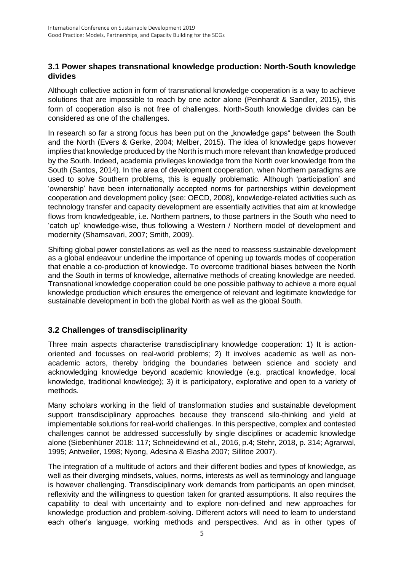#### **3.1 Power shapes transnational knowledge production: North-South knowledge divides**

Although collective action in form of transnational knowledge cooperation is a way to achieve solutions that are impossible to reach by one actor alone (Peinhardt & Sandler, 2015), this form of cooperation also is not free of challenges. North-South knowledge divides can be considered as one of the challenges.

In research so far a strong focus has been put on the "knowledge gaps" between the South and the North (Evers & Gerke, 2004; Melber, 2015). The idea of knowledge gaps however implies that knowledge produced by the North is much more relevant than knowledge produced by the South. Indeed, academia privileges knowledge from the North over knowledge from the South (Santos, 2014). In the area of development cooperation, when Northern paradigms are used to solve Southern problems, this is equally problematic. Although 'participation' and 'ownership' have been internationally accepted norms for partnerships within development cooperation and development policy (see: OECD, 2008), knowledge-related activities such as technology transfer and capacity development are essentially activities that aim at knowledge flows from knowledgeable, i.e. Northern partners, to those partners in the South who need to 'catch up' knowledge-wise, thus following a Western / Northern model of development and modernity (Shamsavari, 2007; Smith, 2009).

Shifting global power constellations as well as the need to reassess sustainable development as a global endeavour underline the importance of opening up towards modes of cooperation that enable a co-production of knowledge. To overcome traditional biases between the North and the South in terms of knowledge, alternative methods of creating knowledge are needed. Transnational knowledge cooperation could be one possible pathway to achieve a more equal knowledge production which ensures the emergence of relevant and legitimate knowledge for sustainable development in both the global North as well as the global South.

#### **3.2 Challenges of transdisciplinarity**

Three main aspects characterise transdisciplinary knowledge cooperation: 1) It is actionoriented and focusses on real-world problems; 2) It involves academic as well as nonacademic actors, thereby bridging the boundaries between science and society and acknowledging knowledge beyond academic knowledge (e.g. practical knowledge, local knowledge, traditional knowledge); 3) it is participatory, explorative and open to a variety of methods.

Many scholars working in the field of transformation studies and sustainable development support transdisciplinary approaches because they transcend silo-thinking and yield at implementable solutions for real-world challenges. In this perspective, complex and contested challenges cannot be addressed successfully by single disciplines or academic knowledge alone (Siebenhüner 2018: 117; Schneidewind et al., 2016, p.4; Stehr, 2018, p. 314; Agrarwal, 1995; Antweiler, 1998; Nyong, Adesina & Elasha 2007; Sillitoe 2007).

The integration of a multitude of actors and their different bodies and types of knowledge, as well as their diverging mindsets, values, norms, interests as well as terminology and language is however challenging. Transdisciplinary work demands from participants an open mindset, reflexivity and the willingness to question taken for granted assumptions. It also requires the capability to deal with uncertainty and to explore non-defined and new approaches for knowledge production and problem-solving. Different actors will need to learn to understand each other's language, working methods and perspectives. And as in other types of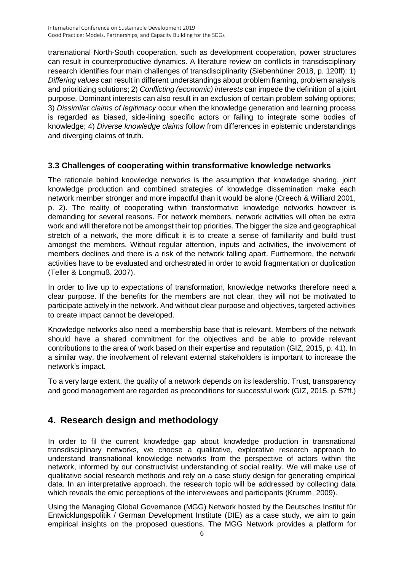transnational North-South cooperation, such as development cooperation, power structures can result in counterproductive dynamics. A literature review on conflicts in transdisciplinary research identifies four main challenges of transdisciplinarity (Siebenhüner 2018, p. 120ff): 1) *Differing values* can result in different understandings about problem framing, problem analysis and prioritizing solutions; 2) *Conflicting (economic) interests* can impede the definition of a joint purpose. Dominant interests can also result in an exclusion of certain problem solving options; 3) *Dissimilar claims of legitimacy* occur when the knowledge generation and learning process is regarded as biased, side-lining specific actors or failing to integrate some bodies of knowledge; 4) *Diverse knowledge claims* follow from differences in epistemic understandings and diverging claims of truth.

#### **3.3 Challenges of cooperating within transformative knowledge networks**

The rationale behind knowledge networks is the assumption that knowledge sharing, joint knowledge production and combined strategies of knowledge dissemination make each network member stronger and more impactful than it would be alone (Creech & Williard 2001, p. 2). The reality of cooperating within transformative knowledge networks however is demanding for several reasons. For network members, network activities will often be extra work and will therefore not be amongst their top priorities. The bigger the size and geographical stretch of a network, the more difficult it is to create a sense of familiarity and build trust amongst the members. Without regular attention, inputs and activities, the involvement of members declines and there is a risk of the network falling apart. Furthermore, the network activities have to be evaluated and orchestrated in order to avoid fragmentation or duplication (Teller & Longmuß, 2007).

In order to live up to expectations of transformation, knowledge networks therefore need a clear purpose. If the benefits for the members are not clear, they will not be motivated to participate actively in the network. And without clear purpose and objectives, targeted activities to create impact cannot be developed.

Knowledge networks also need a membership base that is relevant. Members of the network should have a shared commitment for the objectives and be able to provide relevant contributions to the area of work based on their expertise and reputation (GIZ,.2015, p. 41). In a similar way, the involvement of relevant external stakeholders is important to increase the network's impact.

To a very large extent, the quality of a network depends on its leadership. Trust, transparency and good management are regarded as preconditions for successful work (GIZ, 2015, p. 57ff.)

# **4. Research design and methodology**

In order to fil the current knowledge gap about knowledge production in transnational transdisciplinary networks, we choose a qualitative, explorative research approach to understand transnational knowledge networks from the perspective of actors within the network, informed by our constructivist understanding of social reality. We will make use of qualitative social research methods and rely on a case study design for generating empirical data. In an interpretative approach, the research topic will be addressed by collecting data which reveals the emic perceptions of the interviewees and participants (Krumm, 2009).

Using the Managing Global Governance (MGG) Network hosted by the Deutsches Institut für Entwicklungspolitik / German Development Institute (DIE) as a case study, we aim to gain empirical insights on the proposed questions. The MGG Network provides a platform for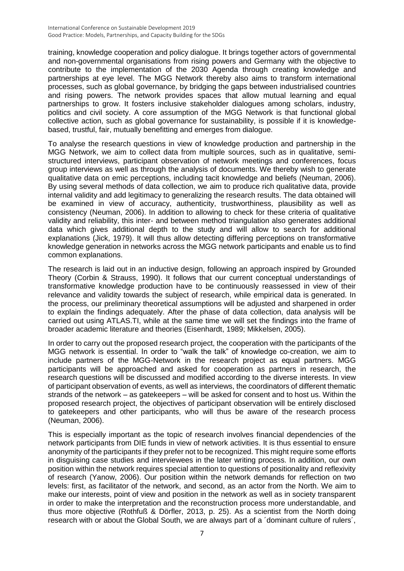training, knowledge cooperation and policy dialogue. It brings together actors of governmental and non-governmental organisations from rising powers and Germany with the objective to contribute to the implementation of the 2030 Agenda through creating knowledge and partnerships at eye level. The MGG Network thereby also aims to transform international processes, such as global governance, by bridging the gaps between industrialised countries and rising powers. The network provides spaces that allow mutual learning and equal partnerships to grow. It fosters inclusive stakeholder dialogues among scholars, industry, politics and civil society. A core assumption of the MGG Network is that functional global collective action, such as global governance for sustainability, is possible if it is knowledgebased, trustful, fair, mutually benefitting and emerges from dialogue.

To analyse the research questions in view of knowledge production and partnership in the MGG Network, we aim to collect data from multiple sources, such as in qualitative, semistructured interviews, participant observation of network meetings and conferences, focus group interviews as well as through the analysis of documents. We thereby wish to generate qualitative data on emic perceptions, including tacit knowledge and beliefs (Neuman, 2006). By using several methods of data collection, we aim to produce rich qualitative data, provide internal validity and add legitimacy to generalizing the research results. The data obtained will be examined in view of accuracy, authenticity, trustworthiness, plausibility as well as consistency (Neuman, 2006). In addition to allowing to check for these criteria of qualitative validity and reliability, this inter- and between method triangulation also generates additional data which gives additional depth to the study and will allow to search for additional explanations (Jick, 1979). It will thus allow detecting differing perceptions on transformative knowledge generation in networks across the MGG network participants and enable us to find common explanations.

The research is laid out in an inductive design, following an approach inspired by Grounded Theory (Corbin & Strauss, 1990). It follows that our current conceptual understandings of transformative knowledge production have to be continuously reassessed in view of their relevance and validity towards the subject of research, while empirical data is generated. In the process, our preliminary theoretical assumptions will be adjusted and sharpened in order to explain the findings adequately. After the phase of data collection, data analysis will be carried out using ATLAS.TI, while at the same time we will set the findings into the frame of broader academic literature and theories (Eisenhardt, 1989; Mikkelsen, 2005).

In order to carry out the proposed research project, the cooperation with the participants of the MGG network is essential. In order to "walk the talk" of knowledge co-creation, we aim to include partners of the MGG-Network in the research project as equal partners. MGG participants will be approached and asked for cooperation as partners in research, the research questions will be discussed and modified according to the diverse interests. In view of participant observation of events, as well as interviews, the coordinators of different thematic strands of the network – as gatekeepers – will be asked for consent and to host us. Within the proposed research project, the objectives of participant observation will be entirely disclosed to gatekeepers and other participants, who will thus be aware of the research process (Neuman, 2006).

This is especially important as the topic of research involves financial dependencies of the network participants from DIE funds in view of network activities. It is thus essential to ensure anonymity of the participants if they prefer not to be recognized. This might require some efforts in disguising case studies and interviewees in the later writing process. In addition, our own position within the network requires special attention to questions of positionality and reflexivity of research (Yanow, 2006). Our position within the network demands for reflection on two levels: first, as facilitator of the network, and second, as an actor from the North. We aim to make our interests, point of view and position in the network as well as in society transparent in order to make the interpretation and the reconstruction process more understandable, and thus more objective (Rothfuß & Dörfler, 2013, p. 25). As a scientist from the North doing research with or about the Global South, we are always part of a ´dominant culture of rulers´,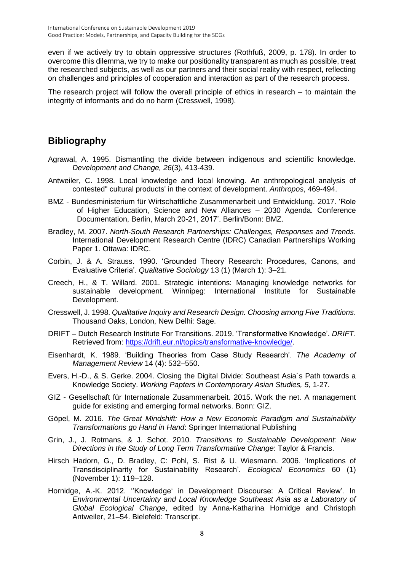even if we actively try to obtain oppressive structures (Rothfuß, 2009, p. 178). In order to overcome this dilemma, we try to make our positionality transparent as much as possible, treat the researched subjects, as well as our partners and their social reality with respect, reflecting on challenges and principles of cooperation and interaction as part of the research process.

The research project will follow the overall principle of ethics in research – to maintain the integrity of informants and do no harm (Cresswell, 1998).

## **Bibliography**

- Agrawal, A. 1995. Dismantling the divide between indigenous and scientific knowledge. *Development and Change, 26*(3), 413-439.
- Antweiler, C. 1998. Local knowledge and local knowing. An anthropological analysis of contested" cultural products' in the context of development. *Anthropos*, 469-494.
- BMZ Bundesministerium für Wirtschaftliche Zusammenarbeit und Entwicklung. 2017. 'Role of Higher Education, Science and New Alliances – 2030 Agenda. Conference Documentation, Berlin, March 20-21, 2017'. Berlin/Bonn: BMZ.
- Bradley, M. 2007. *North-South Research Partnerships: Challenges, Responses and Trends*. International Development Research Centre (IDRC) Canadian Partnerships Working Paper 1. Ottawa: IDRC.
- Corbin, J. & A. Strauss. 1990. 'Grounded Theory Research: Procedures, Canons, and Evaluative Criteria'. *Qualitative Sociology* 13 (1) (March 1): 3–21.
- Creech, H., & T. Willard. 2001. Strategic intentions: Managing knowledge networks for sustainable development. Winnipeg: International Institute for Sustainable Development.
- Cresswell, J. 1998. *Qualitative Inquiry and Research Design. Choosing among Five Traditions*. Thousand Oaks, London, New Delhi: Sage.
- DRIFT Dutch Research Institute For Transitions. 2019. 'Transformative Knowledge'. *DRIFT*. Retrieved from: [https://drift.eur.nl/topics/transformative-knowledge/.](https://drift.eur.nl/topics/transformative-knowledge/)
- Eisenhardt, K. 1989. 'Building Theories from Case Study Research'. *The Academy of Management Review* 14 (4): 532–550.
- Evers, H.-D., & S. Gerke. 2004. Closing the Digital Divide: Southeast Asia´s Path towards a Knowledge Society. *Working Papters in Contemporary Asian Studies, 5*, 1-27.
- GIZ Gesellschaft für Internationale Zusammenarbeit. 2015. Work the net. A management guide for existing and emerging formal networks. Bonn: GIZ.
- Göpel, M. 2016. *The Great Mindshift: How a New Economic Paradigm and Sustainability Transformations go Hand in Hand*: Springer International Publishing
- Grin, J., J. Rotmans, & J. Schot. 2010. *Transitions to Sustainable Development: New Directions in the Study of Long Term Transformative Change*: Taylor & Francis.
- Hirsch Hadorn, G., D. Bradley, C: Pohl, S. Rist & U. Wiesmann. 2006. 'Implications of Transdisciplinarity for Sustainability Research'. *Ecological Economics* 60 (1) (November 1): 119–128.
- Hornidge, A.-K. 2012. ''Knowledge' in Development Discourse: A Critical Review'. In *Environmental Uncertainty and Local Knowledge Southeast Asia as a Laboratory of Global Ecological Change*, edited by Anna-Katharina Hornidge and Christoph Antweiler, 21–54. Bielefeld: Transcript.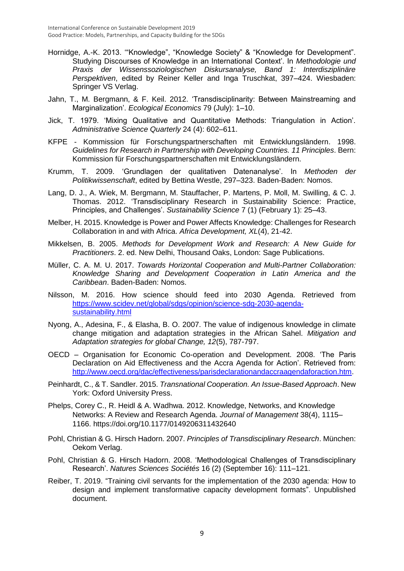- Hornidge, A.-K. 2013. '"Knowledge", "Knowledge Society" & "Knowledge for Development". Studying Discourses of Knowledge in an International Context'. In *Methodologie und Praxis der Wissenssoziologischen Diskursanalyse, Band 1: Interdisziplinäre Perspektiven*, edited by Reiner Keller and Inga Truschkat, 397–424. Wiesbaden: Springer VS Verlag.
- Jahn, T., M. Bergmann, & F. Keil. 2012. 'Transdisciplinarity: Between Mainstreaming and Marginalization'. *Ecological Economics* 79 (July): 1–10.
- Jick, T. 1979. 'Mixing Qualitative and Quantitative Methods: Triangulation in Action'. *Administrative Science Quarterly* 24 (4): 602–611.
- KFPE Kommission für Forschungspartnerschaften mit Entwicklungsländern. 1998. *Guidelines for Research in Partnership with Developing Countries. 11 Principles*. Bern: Kommission für Forschungspartnerschaften mit Entwicklungsländern.
- Krumm, T. 2009. 'Grundlagen der qualitativen Datenanalyse'. In *Methoden der Politikwissenschaft*, edited by Bettina Westle, 297–323. Baden-Baden: Nomos.
- Lang, D. J., A. Wiek, M. Bergmann, M. Stauffacher, P. Martens, P. Moll, M. Swilling, & C. J. Thomas. 2012. 'Transdisciplinary Research in Sustainability Science: Practice, Principles, and Challenges'. *Sustainability Science* 7 (1) (February 1): 25–43.
- Melber, H. 2015. Knowledge is Power and Power Affects Knowledge: Challenges for Research Collaboration in and with Africa. *Africa Development, XL*(4), 21-42.
- Mikkelsen, B. 2005. *Methods for Development Work and Research: A New Guide for Practitioners*. 2. ed. New Delhi, Thousand Oaks, London: Sage Publications.
- Müller, C. A. M. U. 2017. *Towards Horizontal Cooperation and Multi-Partner Collaboration: Knowledge Sharing and Development Cooperation in Latin America and the Caribbean*. Baden-Baden: Nomos.
- Nilsson, M. 2016. How science should feed into 2030 Agenda. Retrieved from [https://www.scidev.net/global/sdgs/opinion/science-sdg-2030-agenda](https://www.scidev.net/global/sdgs/opinion/science-sdg-2030-agenda-sustainability.html)[sustainability.html](https://www.scidev.net/global/sdgs/opinion/science-sdg-2030-agenda-sustainability.html)
- Nyong, A., Adesina, F., & Elasha, B. O. 2007. The value of indigenous knowledge in climate change mitigation and adaptation strategies in the African Sahel. *Mitigation and Adaptation strategies for global Change, 12*(5), 787-797.
- OECD Organisation for Economic Co-operation and Development. 2008. 'The Paris Declaration on Aid Effectiveness and the Accra Agenda for Action'. Retrieved from: [http://www.oecd.org/dac/effectiveness/parisdeclarationandaccraagendaforaction.htm.](http://www.oecd.org/dac/effectiveness/parisdeclarationandaccraagendaforaction.htm)
- Peinhardt, C., & T. Sandler. 2015. *Transnational Cooperation. An Issue-Based Approach*. New York: Oxford University Press.
- Phelps, Corey C., R. Heidl & A. Wadhwa. 2012. Knowledge, Networks, and Knowledge Networks: A Review and Research Agenda. *Journal of Management* 38(4), 1115– 1166.<https://doi.org/10.1177/0149206311432640>
- Pohl, Christian & G. Hirsch Hadorn. 2007. *Principles of Transdisciplinary Research*. München: Oekom Verlag.
- Pohl, Christian & G. Hirsch Hadorn. 2008. 'Methodological Challenges of Transdisciplinary Research'. *Natures Sciences Sociétés* 16 (2) (September 16): 111–121.
- Reiber, T. 2019. "Training civil servants for the implementation of the 2030 agenda: How to design and implement transformative capacity development formats". Unpublished document.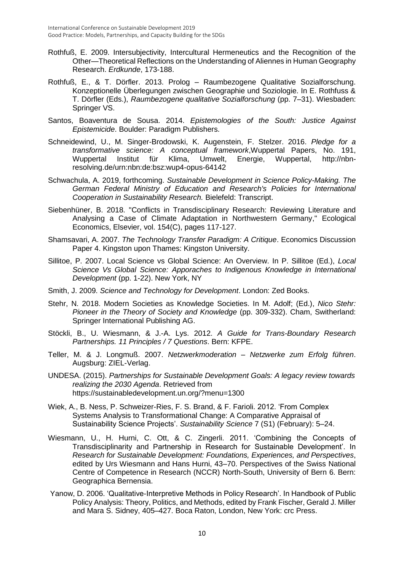- Rothfuß, E. 2009. Intersubjectivity, Intercultural Hermeneutics and the Recognition of the Other—Theoretical Reflections on the Understanding of Aliennes in Human Geography Research. *Erdkunde*, 173-188.
- Rothfuß, E., & T. Dörfler. 2013. Prolog Raumbezogene Qualitative Sozialforschung. Konzeptionelle Überlegungen zwischen Geographie und Soziologie. In E. Rothfuss & T. Dörfler (Eds.), *Raumbezogene qualitative Sozialforschung* (pp. 7–31). Wiesbaden: Springer VS.
- Santos, Boaventura de Sousa. 2014. *Epistemologies of the South: Justice Against Epistemicide*. Boulder: Paradigm Publishers.
- Schneidewind, U., M. Singer-Brodowski, K. Augenstein, F. Stelzer. 2016. *Pledge for a transformative science: A conceptual framework*,Wuppertal Papers, No. 191, Wuppertal Institut für Klima, Umwelt, Energie, Wuppertal, http://nbnresolving.de/urn:nbn:de:bsz:wup4-opus-64142
- Schwachula, A. 2019, forthcoming. *Sustainable Development in Science Policy-Making. The German Federal Ministry of Education and Research's Policies for International Cooperation in Sustainability Research.* Bielefeld: Transcript.
- Siebenhüner, B. 2018. ["Conflicts in Transdisciplinary Research: Reviewing Literature and](https://ideas.repec.org/a/eee/ecolec/v154y2018icp117-127.html)  [Analysing a Case of Climate Adaptation in Northwestern Germany,](https://ideas.repec.org/a/eee/ecolec/v154y2018icp117-127.html)" [Ecological](https://ideas.repec.org/s/eee/ecolec.html)  [Economics,](https://ideas.repec.org/s/eee/ecolec.html) Elsevier, vol. 154(C), pages 117-127.
- Shamsavari, A. 2007. *The Technology Transfer Paradigm: A Critique*. Economics Discussion Paper 4. Kingston upon Thames: Kingston University.
- Sillitoe, P. 2007. Local Science vs Global Science: An Overview. In P. Sillitoe (Ed.), *Local Science Vs Global Science: Apporaches to Indigenous Knowledge in International Development* (pp. 1-22). New York, NY
- Smith, J. 2009. *Science and Technology for Development*. London: Zed Books.
- Stehr, N. 2018. Modern Societies as Knowledge Societies. In M. Adolf; (Ed.), *Nico Stehr: Pioneer in the Theory of Society and Knowledge* (pp. 309-332). Cham, Switherland: Springer International Publishing AG.
- Stöckli, B., U. Wiesmann, & J.-A. Lys. 2012. *A Guide for Trans-Boundary Research Partnerships. 11 Principles / 7 Questions*. Bern: KFPE.
- Teller, M. & J. Longmuß. 2007. *Netzwerkmoderation – Netzwerke zum Erfolg führen*. Augsburg: ZIEL-Verlag.
- UNDESA. (2015). *Partnerships for Sustainable Development Goals: A legacy review towards realizing the 2030 Agenda*. Retrieved from https://sustainabledevelopment.un.org/?menu=1300
- Wiek, A., B. Ness, P. Schweizer-Ries, F. S. Brand, & F. Farioli. 2012. 'From Complex Systems Analysis to Transformational Change: A Comparative Appraisal of Sustainability Science Projects'. *Sustainability Science* 7 (S1) (February): 5–24.
- Wiesmann, U., H. Hurni, C. Ott, & C. Zingerli. 2011. 'Combining the Concepts of Transdisciplinarity and Partnership in Research for Sustainable Development'. In *Research for Sustainable Development: Foundations, Experiences, and Perspectives*, edited by Urs Wiesmann and Hans Hurni, 43–70. Perspectives of the Swiss National Centre of Competence in Research (NCCR) North-South, University of Bern 6. Bern: Geographica Bernensia.
- Yanow, D. 2006. 'Qualitative-Interpretive Methods in Policy Research'. In Handbook of Public Policy Analysis: Theory, Politics, and Methods, edited by Frank Fischer, Gerald J. Miller and Mara S. Sidney, 405–427. Boca Raton, London, New York: crc Press.